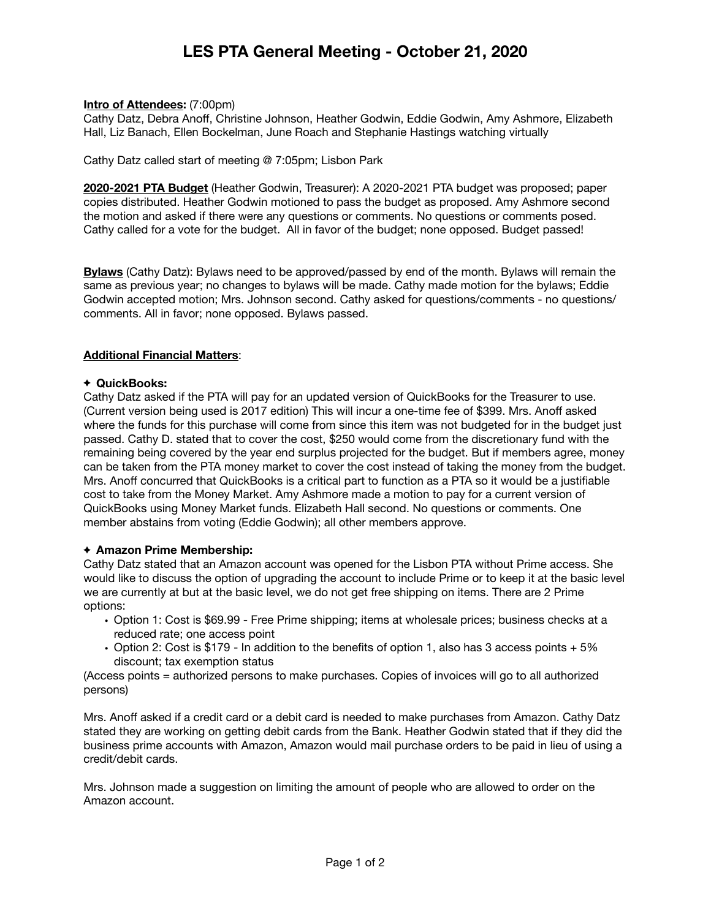# **LES PTA General Meeting - October 21, 2020**

#### **Intro of Attendees:** (7:00pm)

Cathy Datz, Debra Anoff, Christine Johnson, Heather Godwin, Eddie Godwin, Amy Ashmore, Elizabeth Hall, Liz Banach, Ellen Bockelman, June Roach and Stephanie Hastings watching virtually

Cathy Datz called start of meeting @ 7:05pm; Lisbon Park

**2020-2021 PTA Budget** (Heather Godwin, Treasurer): A 2020-2021 PTA budget was proposed; paper copies distributed. Heather Godwin motioned to pass the budget as proposed. Amy Ashmore second the motion and asked if there were any questions or comments. No questions or comments posed. Cathy called for a vote for the budget. All in favor of the budget; none opposed. Budget passed!

**Bylaws** (Cathy Datz): Bylaws need to be approved/passed by end of the month. Bylaws will remain the same as previous year; no changes to bylaws will be made. Cathy made motion for the bylaws; Eddie Godwin accepted motion; Mrs. Johnson second. Cathy asked for questions/comments - no questions/ comments. All in favor; none opposed. Bylaws passed.

### **Additional Financial Matters**:

#### **QuickBooks:**

Cathy Datz asked if the PTA will pay for an updated version of QuickBooks for the Treasurer to use. (Current version being used is 2017 edition) This will incur a one-time fee of \$399. Mrs. Anoff asked where the funds for this purchase will come from since this item was not budgeted for in the budget just passed. Cathy D. stated that to cover the cost, \$250 would come from the discretionary fund with the remaining being covered by the year end surplus projected for the budget. But if members agree, money can be taken from the PTA money market to cover the cost instead of taking the money from the budget. Mrs. Anoff concurred that QuickBooks is a critical part to function as a PTA so it would be a justifiable cost to take from the Money Market. Amy Ashmore made a motion to pay for a current version of QuickBooks using Money Market funds. Elizabeth Hall second. No questions or comments. One member abstains from voting (Eddie Godwin); all other members approve.

### **Amazon Prime Membership:**

Cathy Datz stated that an Amazon account was opened for the Lisbon PTA without Prime access. She would like to discuss the option of upgrading the account to include Prime or to keep it at the basic level we are currently at but at the basic level, we do not get free shipping on items. There are 2 Prime options:

- Option 1: Cost is \$69.99 Free Prime shipping; items at wholesale prices; business checks at a reduced rate; one access point
- Option 2: Cost is \$179 In addition to the benefits of option 1, also has 3 access points + 5% discount; tax exemption status

(Access points = authorized persons to make purchases. Copies of invoices will go to all authorized persons)

Mrs. Anoff asked if a credit card or a debit card is needed to make purchases from Amazon. Cathy Datz stated they are working on getting debit cards from the Bank. Heather Godwin stated that if they did the business prime accounts with Amazon, Amazon would mail purchase orders to be paid in lieu of using a credit/debit cards.

Mrs. Johnson made a suggestion on limiting the amount of people who are allowed to order on the Amazon account.